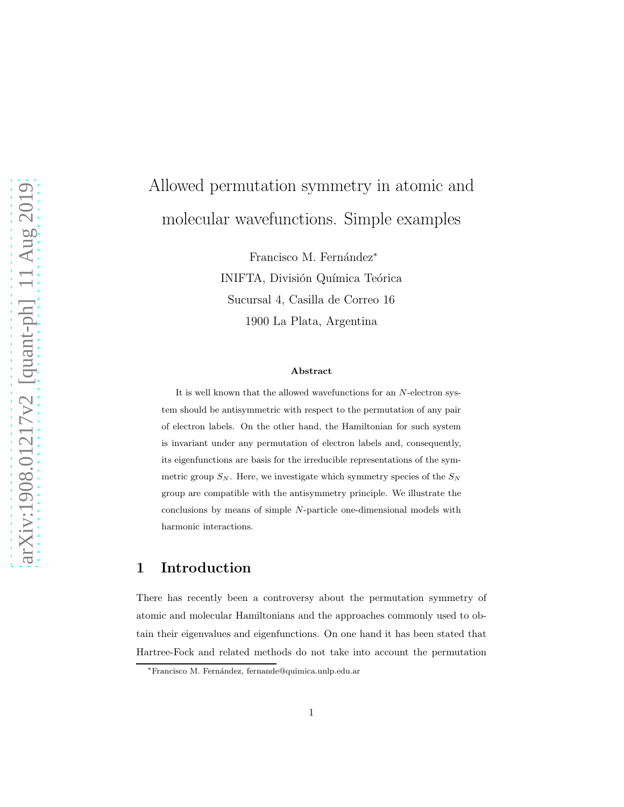# Allowed permutation symmetry in atomic and molecular wavefunctions. Simple examples

Francisco M. Fernández<sup>\*</sup> INIFTA, División Química Teórica Sucursal 4, Casilla de Correo 16 1900 La Plata, Argentina

#### Abstract

It is well known that the allowed wavefunctions for an N-electron system should be antisymmetric with respect to the permutation of any pair of electron labels. On the other hand, the Hamiltonian for such system is invariant under any permutation of electron labels and, consequently, its eigenfunctions are basis for the irreducible representations of the symmetric group  $S_N$ . Here, we investigate which symmetry species of the  $S_N$ group are compatible with the antisymmetry principle. We illustrate the conclusions by means of simple N-particle one-dimensional models with harmonic interactions.

# 1 Introduction

There has recently been a controversy about the permutation symmetry of atomic and molecular Hamiltonians and the approaches commonly used to obtain their eigenvalues and eigenfunctions. On one hand it has been stated that Hartree-Fock and related methods do not take into account the permutation

<sup>∗</sup>Francisco M. Fern´andez, fernande@quimica.unlp.edu.ar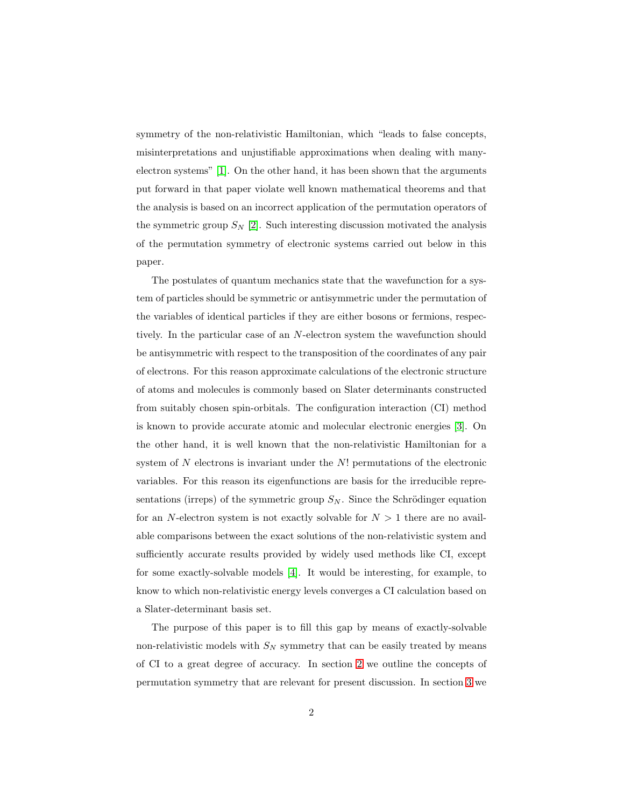symmetry of the non-relativistic Hamiltonian, which "leads to false concepts, misinterpretations and unjustifiable approximations when dealing with manyelectron systems" [\[1\]](#page-10-0). On the other hand, it has been shown that the arguments put forward in that paper violate well known mathematical theorems and that the analysis is based on an incorrect application of the permutation operators of the symmetric group  $S_N$  [\[2\]](#page-10-1). Such interesting discussion motivated the analysis of the permutation symmetry of electronic systems carried out below in this paper.

The postulates of quantum mechanics state that the wavefunction for a system of particles should be symmetric or antisymmetric under the permutation of the variables of identical particles if they are either bosons or fermions, respectively. In the particular case of an N-electron system the wavefunction should be antisymmetric with respect to the transposition of the coordinates of any pair of electrons. For this reason approximate calculations of the electronic structure of atoms and molecules is commonly based on Slater determinants constructed from suitably chosen spin-orbitals. The configuration interaction (CI) method is known to provide accurate atomic and molecular electronic energies [\[3\]](#page-10-2). On the other hand, it is well known that the non-relativistic Hamiltonian for a system of  $N$  electrons is invariant under the  $N!$  permutations of the electronic variables. For this reason its eigenfunctions are basis for the irreducible representations (irreps) of the symmetric group  $S_N$ . Since the Schrödinger equation for an N-electron system is not exactly solvable for  $N > 1$  there are no available comparisons between the exact solutions of the non-relativistic system and sufficiently accurate results provided by widely used methods like CI, except for some exactly-solvable models [\[4\]](#page-11-0). It would be interesting, for example, to know to which non-relativistic energy levels converges a CI calculation based on a Slater-determinant basis set.

The purpose of this paper is to fill this gap by means of exactly-solvable non-relativistic models with  $S_N$  symmetry that can be easily treated by means of CI to a great degree of accuracy. In section [2](#page-2-0) we outline the concepts of permutation symmetry that are relevant for present discussion. In section [3](#page-4-0) we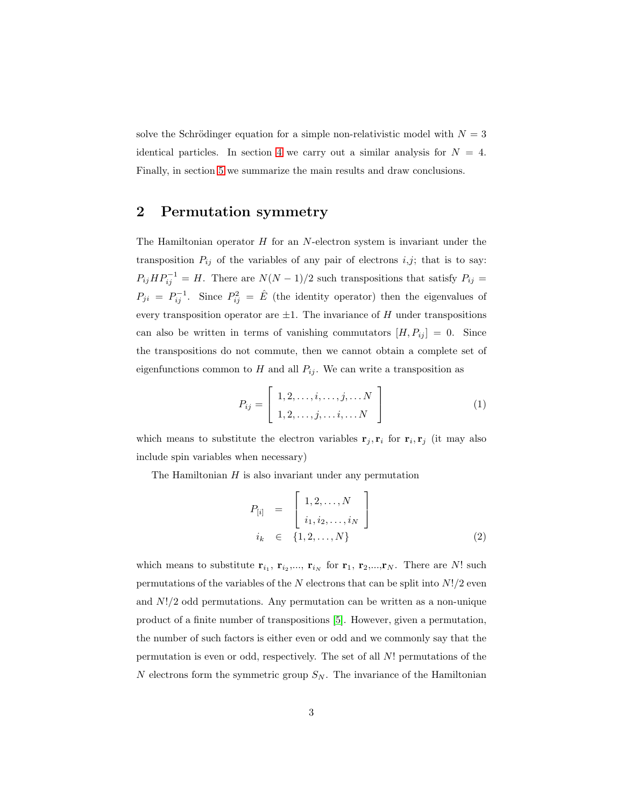solve the Schrödinger equation for a simple non-relativistic model with  $N = 3$ identical particles. In section [4](#page-8-0) we carry out a similar analysis for  $N = 4$ . Finally, in section [5](#page-9-0) we summarize the main results and draw conclusions.

## <span id="page-2-0"></span>2 Permutation symmetry

The Hamiltonian operator  $H$  for an  $N$ -electron system is invariant under the transposition  $P_{ij}$  of the variables of any pair of electrons i,j; that is to say:  $P_{ij}HP_{ij}^{-1} = H$ . There are  $N(N-1)/2$  such transpositions that satisfy  $P_{ij} =$  $P_{ji} = P_{ij}^{-1}$ . Since  $P_{ij}^2 = \hat{E}$  (the identity operator) then the eigenvalues of every transposition operator are  $\pm 1$ . The invariance of H under transpositions can also be written in terms of vanishing commutators  $[H, P_{ij}] = 0$ . Since the transpositions do not commute, then we cannot obtain a complete set of eigenfunctions common to H and all  $P_{ij}$ . We can write a transposition as

$$
P_{ij} = \left[ \begin{array}{c} 1, 2, \dots, i, \dots, j, \dots N \\ 1, 2, \dots, j, \dots i, \dots N \end{array} \right] \tag{1}
$$

which means to substitute the electron variables  $\mathbf{r}_j, \mathbf{r}_i$  for  $\mathbf{r}_i, \mathbf{r}_j$  (it may also include spin variables when necessary)

The Hamiltonian  $H$  is also invariant under any permutation

$$
P_{[i]} = \begin{bmatrix} 1, 2, ..., N \\ i_1, i_2, ..., i_N \end{bmatrix}
$$
  

$$
i_k \in \{1, 2, ..., N\}
$$
 (2)

which means to substitute  $\mathbf{r}_{i_1}$ ,  $\mathbf{r}_{i_2},...$ ,  $\mathbf{r}_{i_N}$  for  $\mathbf{r}_1$ ,  $\mathbf{r}_2,...,\mathbf{r}_N$ . There are N! such permutations of the variables of the  $N$  electrons that can be split into  $N!/2$  even and  $N!/2$  odd permutations. Any permutation can be written as a non-unique product of a finite number of transpositions [\[5\]](#page-11-1). However, given a permutation, the number of such factors is either even or odd and we commonly say that the permutation is even or odd, respectively. The set of all N! permutations of the N electrons form the symmetric group  $S_N$ . The invariance of the Hamiltonian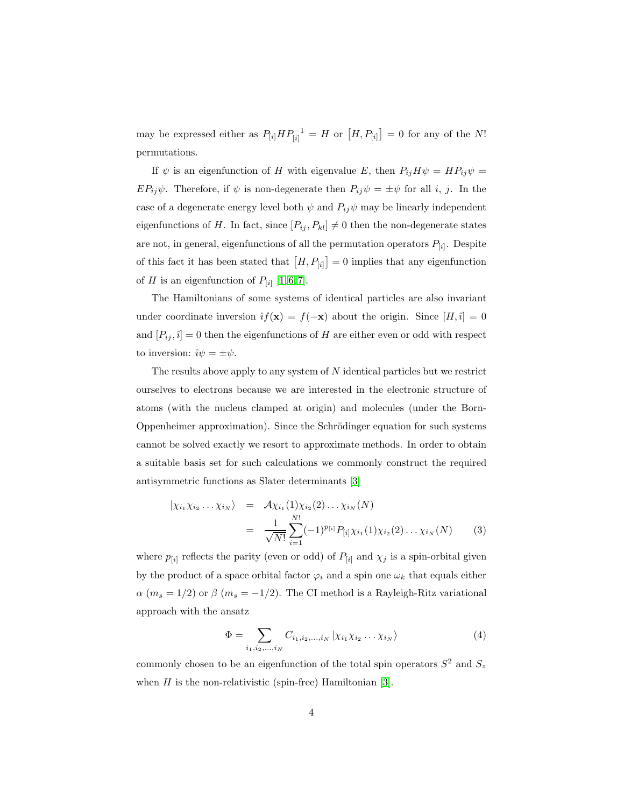may be expressed either as  $P_{[i]} H P_{[i]}^{-1} = H$  or  $[H, P_{[i]}] = 0$  for any of the N! permutations.

If  $\psi$  is an eigenfunction of H with eigenvalue E, then  $P_{ij}H\psi = HP_{ij}\psi =$  $EP_{ij}\psi$ . Therefore, if  $\psi$  is non-degenerate then  $P_{ij}\psi = \pm \psi$  for all i, j. In the case of a degenerate energy level both  $\psi$  and  $P_{ij}\psi$  may be linearly independent eigenfunctions of H. In fact, since  $[P_{ij}, P_{kl}] \neq 0$  then the non-degenerate states are not, in general, eigenfunctions of all the permutation operators  $P_{[i]}$ . Despite of this fact it has been stated that  $[H, P_{[i]}] = 0$  implies that any eigenfunction of H is an eigenfunction of  $P_{[i]}$  [\[1,](#page-10-0) [6,](#page-11-2) [7\]](#page-11-3).

The Hamiltonians of some systems of identical particles are also invariant under coordinate inversion  $\hat{i}f(\mathbf{x}) = f(-\mathbf{x})$  about the origin. Since  $[H, \hat{i}] = 0$ and  $[P_{ij}, \hat{i}] = 0$  then the eigenfunctions of H are either even or odd with respect to inversion:  $\hat{\imath}\psi = \pm \psi$ .

The results above apply to any system of  $N$  identical particles but we restrict ourselves to electrons because we are interested in the electronic structure of atoms (with the nucleus clamped at origin) and molecules (under the Born-Oppenheimer approximation). Since the Schrödinger equation for such systems cannot be solved exactly we resort to approximate methods. In order to obtain a suitable basis set for such calculations we commonly construct the required antisymmetric functions as Slater determinants [\[3\]](#page-10-2)

$$
|\chi_{i_1}\chi_{i_2}\dots\chi_{i_N}\rangle = \mathcal{A}\chi_{i_1}(1)\chi_{i_2}(2)\dots\chi_{i_N}(N)
$$
  

$$
= \frac{1}{\sqrt{N!}}\sum_{i=1}^{N!}(-1)^{p_{[i]}}P_{[i]}\chi_{i_1}(1)\chi_{i_2}(2)\dots\chi_{i_N}(N) \qquad (3)
$$

where  $p_{[i]}$  reflects the parity (even or odd) of  $P_{[i]}$  and  $\chi_j$  is a spin-orbital given by the product of a space orbital factor  $\varphi_i$  and a spin one  $\omega_k$  that equals either  $\alpha$  ( $m_s = 1/2$ ) or  $\beta$  ( $m_s = -1/2$ ). The CI method is a Rayleigh-Ritz variational approach with the ansatz

<span id="page-3-0"></span>
$$
\Phi = \sum_{i_1, i_2, ..., i_N} C_{i_1, i_2, ..., i_N} | \chi_{i_1} \chi_{i_2} \dots \chi_{i_N} \rangle \tag{4}
$$

commonly chosen to be an eigenfunction of the total spin operators  $S^2$  and  $S_z$ when  $H$  is the non-relativistic (spin-free) Hamiltonian [\[3\]](#page-10-2).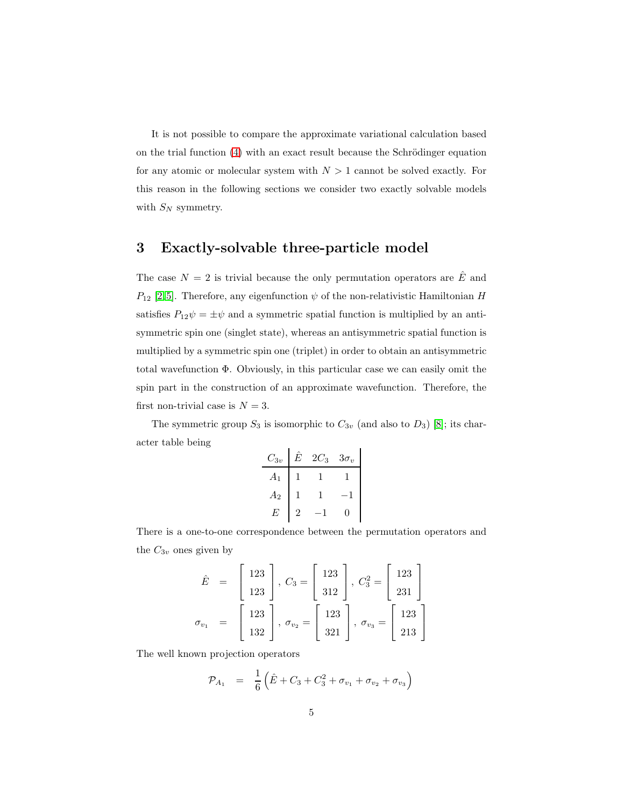It is not possible to compare the approximate variational calculation based on the trial function  $(4)$  with an exact result because the Schrödinger equation for any atomic or molecular system with  $N > 1$  cannot be solved exactly. For this reason in the following sections we consider two exactly solvable models with  $S_N$  symmetry.

# <span id="page-4-0"></span>3 Exactly-solvable three-particle model

The case  $N = 2$  is trivial because the only permutation operators are  $\hat{E}$  and  $P_{12}$  [\[2,](#page-10-1)5]. Therefore, any eigenfunction  $\psi$  of the non-relativistic Hamiltonian H satisfies  $P_{12}\psi = \pm \psi$  and a symmetric spatial function is multiplied by an antisymmetric spin one (singlet state), whereas an antisymmetric spatial function is multiplied by a symmetric spin one (triplet) in order to obtain an antisymmetric total wavefunction Φ. Obviously, in this particular case we can easily omit the spin part in the construction of an approximate wavefunction. Therefore, the first non-trivial case is  $N = 3$ .

The symmetric group  $S_3$  is isomorphic to  $C_{3v}$  (and also to  $D_3$ ) [\[8\]](#page-11-4); its character table being

| $C_{3v}$         | E | $2\mathbb{C}_3$ | $3\sigma_v$ |
|------------------|---|-----------------|-------------|
| $\boldsymbol{A}$ |   |                 |             |
| $A_2$            |   |                 |             |
| F,               | 2 |                 |             |

There is a one-to-one correspondence between the permutation operators and the  $C_{3v}$  ones given by

$$
\hat{E} = \begin{bmatrix} 123 \\ 123 \end{bmatrix}, C_3 = \begin{bmatrix} 123 \\ 312 \end{bmatrix}, C_3^2 = \begin{bmatrix} 123 \\ 231 \end{bmatrix}
$$

$$
\sigma_{v_1} = \begin{bmatrix} 123 \\ 132 \end{bmatrix}, \sigma_{v_2} = \begin{bmatrix} 123 \\ 321 \end{bmatrix}, \sigma_{v_3} = \begin{bmatrix} 123 \\ 213 \end{bmatrix}
$$

The well known projection operators

$$
\mathcal{P}_{A_1} = \frac{1}{6} \left( \hat{E} + C_3 + C_3^2 + \sigma_{v_1} + \sigma_{v_2} + \sigma_{v_3} \right)
$$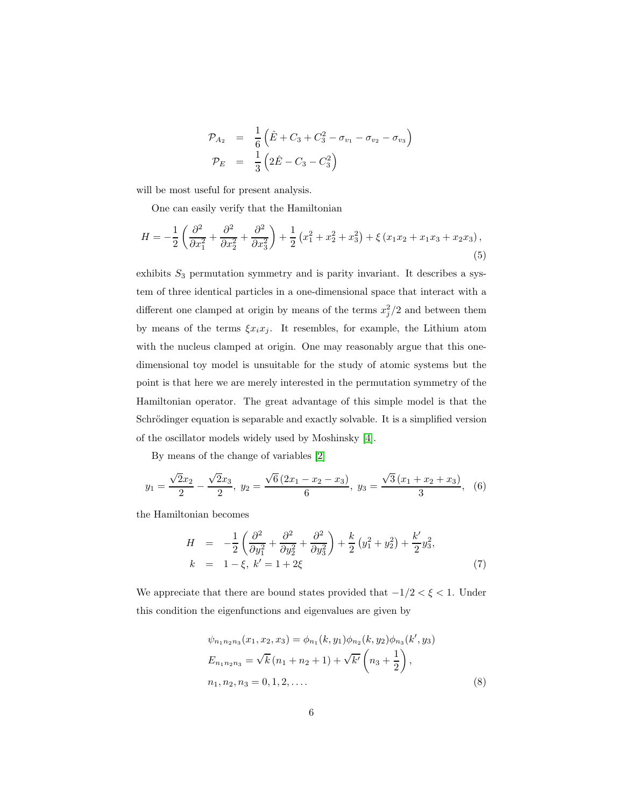$$
\begin{array}{rcl}\n\mathcal{P}_{A_2} & = & \frac{1}{6} \left( \hat{E} + C_3 + C_3^2 - \sigma_{v_1} - \sigma_{v_2} - \sigma_{v_3} \right) \\
\mathcal{P}_E & = & \frac{1}{3} \left( 2 \hat{E} - C_3 - C_3^2 \right)\n\end{array}
$$

will be most useful for present analysis.

One can easily verify that the Hamiltonian

<span id="page-5-0"></span>
$$
H = -\frac{1}{2} \left( \frac{\partial^2}{\partial x_1^2} + \frac{\partial^2}{\partial x_2^2} + \frac{\partial^2}{\partial x_3^2} \right) + \frac{1}{2} \left( x_1^2 + x_2^2 + x_3^2 \right) + \xi \left( x_1 x_2 + x_1 x_3 + x_2 x_3 \right),\tag{5}
$$

exhibits  $S_3$  permutation symmetry and is parity invariant. It describes a system of three identical particles in a one-dimensional space that interact with a different one clamped at origin by means of the terms  $x_j^2/2$  and between them by means of the terms  $\xi x_i x_j$ . It resembles, for example, the Lithium atom with the nucleus clamped at origin. One may reasonably argue that this onedimensional toy model is unsuitable for the study of atomic systems but the point is that here we are merely interested in the permutation symmetry of the Hamiltonian operator. The great advantage of this simple model is that the Schrödinger equation is separable and exactly solvable. It is a simplified version of the oscillator models widely used by Moshinsky [\[4\]](#page-11-0).

By means of the change of variables [\[2\]](#page-10-1)

$$
y_1 = \frac{\sqrt{2}x_2}{2} - \frac{\sqrt{2}x_3}{2}, \ y_2 = \frac{\sqrt{6}(2x_1 - x_2 - x_3)}{6}, \ y_3 = \frac{\sqrt{3}(x_1 + x_2 + x_3)}{3}, \ (6)
$$

the Hamiltonian becomes

$$
H = -\frac{1}{2} \left( \frac{\partial^2}{\partial y_1^2} + \frac{\partial^2}{\partial y_2^2} + \frac{\partial^2}{\partial y_3^2} \right) + \frac{k}{2} \left( y_1^2 + y_2^2 \right) + \frac{k'}{2} y_3^2,
$$
  
\n
$$
k = 1 - \xi, \ k' = 1 + 2\xi
$$
 (7)

We appreciate that there are bound states provided that  $-1/2 < \xi < 1$ . Under this condition the eigenfunctions and eigenvalues are given by

$$
\psi_{n_1 n_2 n_3}(x_1, x_2, x_3) = \phi_{n_1}(k, y_1) \phi_{n_2}(k, y_2) \phi_{n_3}(k', y_3)
$$
  
\n
$$
E_{n_1 n_2 n_3} = \sqrt{k} (n_1 + n_2 + 1) + \sqrt{k'} \left( n_3 + \frac{1}{2} \right),
$$
  
\n
$$
n_1, n_2, n_3 = 0, 1, 2, ....
$$
\n(8)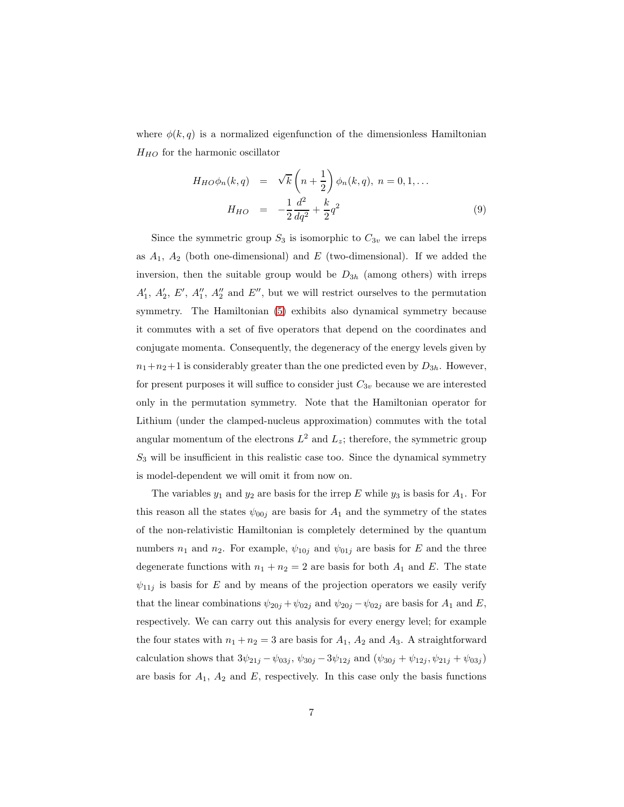where  $\phi(k,q)$  is a normalized eigenfunction of the dimensionless Hamiltonian  $H_{HO}$  for the harmonic oscillator

$$
H_{HO}\phi_n(k,q) = \sqrt{k}\left(n+\frac{1}{2}\right)\phi_n(k,q), n = 0, 1, ...
$$

$$
H_{HO} = -\frac{1}{2}\frac{d^2}{dq^2} + \frac{k}{2}q^2
$$
(9)

Since the symmetric group  $S_3$  is isomorphic to  $C_{3v}$  we can label the irreps as  $A_1$ ,  $A_2$  (both one-dimensional) and E (two-dimensional). If we added the inversion, then the suitable group would be  $D_{3h}$  (among others) with irreps  $A'_1, A'_2, E', A''_1, A''_2$  and  $E''$ , but we will restrict ourselves to the permutation symmetry. The Hamiltonian [\(5\)](#page-5-0) exhibits also dynamical symmetry because it commutes with a set of five operators that depend on the coordinates and conjugate momenta. Consequently, the degeneracy of the energy levels given by  $n_1+n_2+1$  is considerably greater than the one predicted even by  $D_{3h}$ . However, for present purposes it will suffice to consider just  $C_{3v}$  because we are interested only in the permutation symmetry. Note that the Hamiltonian operator for Lithium (under the clamped-nucleus approximation) commutes with the total angular momentum of the electrons  $L^2$  and  $L_z$ ; therefore, the symmetric group  $S_3$  will be insufficient in this realistic case too. Since the dynamical symmetry is model-dependent we will omit it from now on.

The variables  $y_1$  and  $y_2$  are basis for the irrep E while  $y_3$  is basis for  $A_1$ . For this reason all the states  $\psi_{00j}$  are basis for  $A_1$  and the symmetry of the states of the non-relativistic Hamiltonian is completely determined by the quantum numbers  $n_1$  and  $n_2$ . For example,  $\psi_{10j}$  and  $\psi_{01j}$  are basis for E and the three degenerate functions with  $n_1 + n_2 = 2$  are basis for both  $A_1$  and E. The state  $\psi_{11j}$  is basis for E and by means of the projection operators we easily verify that the linear combinations  $\psi_{20j} + \psi_{02j}$  and  $\psi_{20j} - \psi_{02j}$  are basis for  $A_1$  and  $E$ , respectively. We can carry out this analysis for every energy level; for example the four states with  $n_1 + n_2 = 3$  are basis for  $A_1$ ,  $A_2$  and  $A_3$ . A straightforward calculation shows that  $3\psi_{21j} - \psi_{03j}$ ,  $\psi_{30j} - 3\psi_{12j}$  and  $(\psi_{30j} + \psi_{12j}, \psi_{21j} + \psi_{03j})$ are basis for  $A_1$ ,  $A_2$  and  $E$ , respectively. In this case only the basis functions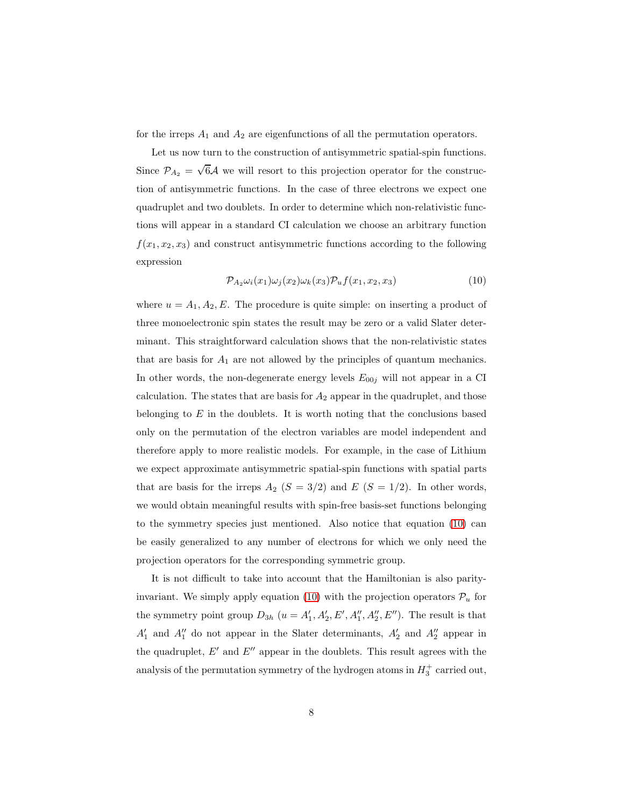for the irreps  $A_1$  and  $A_2$  are eigenfunctions of all the permutation operators.

Let us now turn to the construction of antisymmetric spatial-spin functions. Since  $\mathcal{P}_{A_2} = \sqrt{6}\mathcal{A}$  we will resort to this projection operator for the construction of antisymmetric functions. In the case of three electrons we expect one quadruplet and two doublets. In order to determine which non-relativistic functions will appear in a standard CI calculation we choose an arbitrary function  $f(x_1, x_2, x_3)$  and construct antisymmetric functions according to the following expression

<span id="page-7-0"></span>
$$
\mathcal{P}_{A_2}\omega_i(x_1)\omega_j(x_2)\omega_k(x_3)\mathcal{P}_u f(x_1, x_2, x_3) \tag{10}
$$

where  $u = A_1, A_2, E$ . The procedure is quite simple: on inserting a product of three monoelectronic spin states the result may be zero or a valid Slater determinant. This straightforward calculation shows that the non-relativistic states that are basis for  $A_1$  are not allowed by the principles of quantum mechanics. In other words, the non-degenerate energy levels  $E_{00j}$  will not appear in a CI calculation. The states that are basis for  $A_2$  appear in the quadruplet, and those belonging to  $E$  in the doublets. It is worth noting that the conclusions based only on the permutation of the electron variables are model independent and therefore apply to more realistic models. For example, in the case of Lithium we expect approximate antisymmetric spatial-spin functions with spatial parts that are basis for the irreps  $A_2$  ( $S = 3/2$ ) and  $E$  ( $S = 1/2$ ). In other words, we would obtain meaningful results with spin-free basis-set functions belonging to the symmetry species just mentioned. Also notice that equation [\(10\)](#page-7-0) can be easily generalized to any number of electrons for which we only need the projection operators for the corresponding symmetric group.

It is not difficult to take into account that the Hamiltonian is also parity-invariant. We simply apply equation [\(10\)](#page-7-0) with the projection operators  $\mathcal{P}_u$  for the symmetry point group  $D_{3h}$   $(u = A'_1, A'_2, E', A''_1, A''_2, E'')$ . The result is that  $A'_1$  and  $A''_1$  do not appear in the Slater determinants,  $A'_2$  and  $A''_2$  appear in the quadruplet,  $E'$  and  $E''$  appear in the doublets. This result agrees with the analysis of the permutation symmetry of the hydrogen atoms in  $H_3^+$  carried out,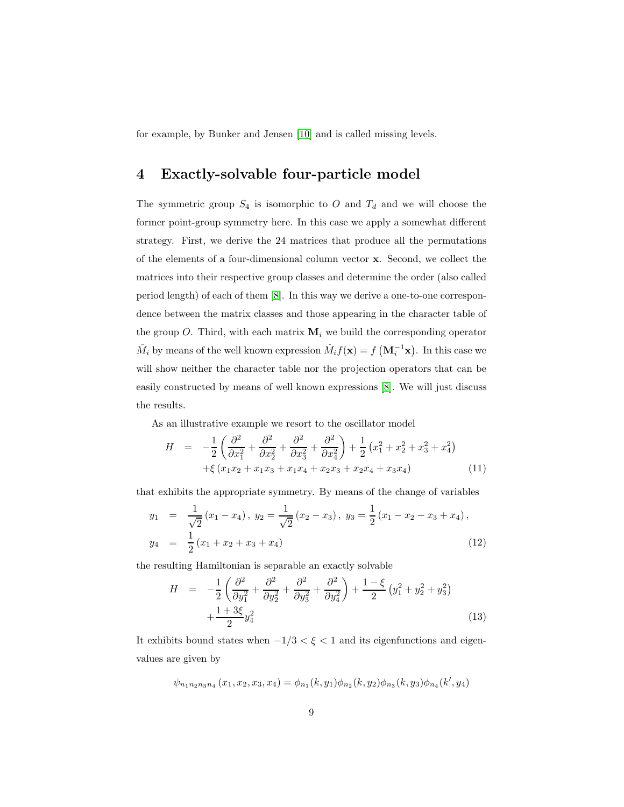<span id="page-8-0"></span>for example, by Bunker and Jensen [\[10\]](#page-11-5) and is called missing levels.

## 4 Exactly-solvable four-particle model

The symmetric group  $S_4$  is isomorphic to O and  $T_d$  and we will choose the former point-group symmetry here. In this case we apply a somewhat different strategy. First, we derive the 24 matrices that produce all the permutations of the elements of a four-dimensional column vector x. Second, we collect the matrices into their respective group classes and determine the order (also called period length) of each of them [\[8\]](#page-11-4). In this way we derive a one-to-one correspondence between the matrix classes and those appearing in the character table of the group O. Third, with each matrix  $M_i$  we build the corresponding operator  $\hat{M}_i$  by means of the well known expression  $\hat{M}_i f(\mathbf{x}) = f(\mathbf{M}_i^{-1}\mathbf{x})$ . In this case we will show neither the character table nor the projection operators that can be easily constructed by means of well known expressions [\[8\]](#page-11-4). We will just discuss the results.

As an illustrative example we resort to the oscillator model

$$
H = -\frac{1}{2} \left( \frac{\partial^2}{\partial x_1^2} + \frac{\partial^2}{\partial x_2^2} + \frac{\partial^2}{\partial x_3^2} + \frac{\partial^2}{\partial x_4^2} \right) + \frac{1}{2} \left( x_1^2 + x_2^2 + x_3^2 + x_4^2 \right) + \xi \left( x_1 x_2 + x_1 x_3 + x_1 x_4 + x_2 x_3 + x_2 x_4 + x_3 x_4 \right)
$$
(11)

that exhibits the appropriate symmetry. By means of the change of variables

$$
y_1 = \frac{1}{\sqrt{2}} (x_1 - x_4), y_2 = \frac{1}{\sqrt{2}} (x_2 - x_3), y_3 = \frac{1}{2} (x_1 - x_2 - x_3 + x_4),
$$
  

$$
y_4 = \frac{1}{2} (x_1 + x_2 + x_3 + x_4)
$$
 (12)

the resulting Hamiltonian is separable an exactly solvable

$$
H = -\frac{1}{2} \left( \frac{\partial^2}{\partial y_1^2} + \frac{\partial^2}{\partial y_2^2} + \frac{\partial^2}{\partial y_3^2} + \frac{\partial^2}{\partial y_4^2} \right) + \frac{1 - \xi}{2} \left( y_1^2 + y_2^2 + y_3^2 \right) + \frac{1 + 3\xi}{2} y_4^2 \tag{13}
$$

It exhibits bound states when −1/3 < ξ < 1 and its eigenfunctions and eigenvalues are given by

$$
\psi_{n_1n_2n_3n_4}\left(x_1,x_2,x_3,x_4\right)=\phi_{n_1}(k,y_1)\phi_{n_2}(k,y_2)\phi_{n_3}(k,y_3)\phi_{n_4}(k',y_4)
$$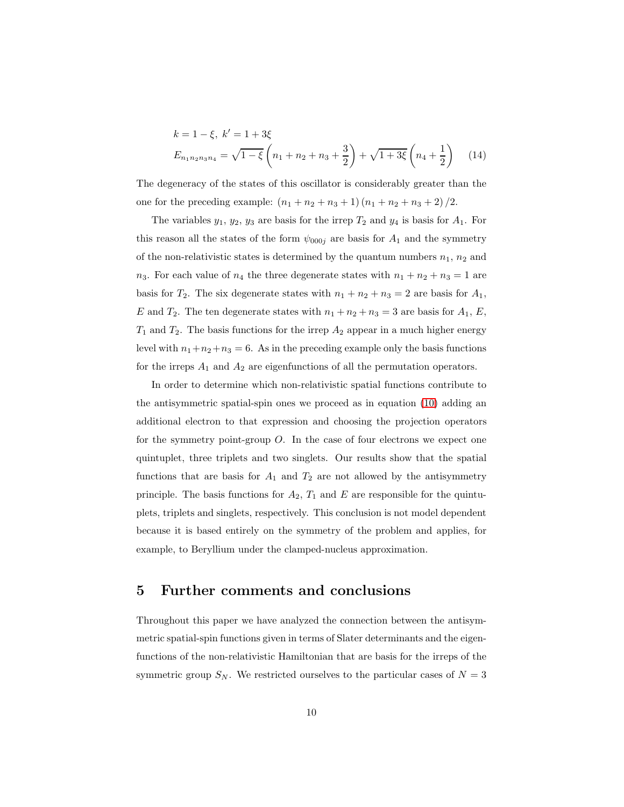$$
k = 1 - \xi, \ k' = 1 + 3\xi
$$
  
\n
$$
E_{n_1 n_2 n_3 n_4} = \sqrt{1 - \xi} \left( n_1 + n_2 + n_3 + \frac{3}{2} \right) + \sqrt{1 + 3\xi} \left( n_4 + \frac{1}{2} \right) \tag{14}
$$

The degeneracy of the states of this oscillator is considerably greater than the one for the preceding example:  $(n_1 + n_2 + n_3 + 1)(n_1 + n_2 + n_3 + 2)/2$ .

The variables  $y_1, y_2, y_3$  are basis for the irrep  $T_2$  and  $y_4$  is basis for  $A_1$ . For this reason all the states of the form  $\psi_{000j}$  are basis for  $A_1$  and the symmetry of the non-relativistic states is determined by the quantum numbers  $n_1$ ,  $n_2$  and  $n_3$ . For each value of  $n_4$  the three degenerate states with  $n_1 + n_2 + n_3 = 1$  are basis for  $T_2$ . The six degenerate states with  $n_1 + n_2 + n_3 = 2$  are basis for  $A_1$ , E and  $T_2$ . The ten degenerate states with  $n_1 + n_2 + n_3 = 3$  are basis for  $A_1, E$ ,  $T_1$  and  $T_2$ . The basis functions for the irrep  $A_2$  appear in a much higher energy level with  $n_1+n_2+n_3 = 6$ . As in the preceding example only the basis functions for the irreps  $A_1$  and  $A_2$  are eigenfunctions of all the permutation operators.

In order to determine which non-relativistic spatial functions contribute to the antisymmetric spatial-spin ones we proceed as in equation [\(10\)](#page-7-0) adding an additional electron to that expression and choosing the projection operators for the symmetry point-group  $O$ . In the case of four electrons we expect one quintuplet, three triplets and two singlets. Our results show that the spatial functions that are basis for  $A_1$  and  $T_2$  are not allowed by the antisymmetry principle. The basis functions for  $A_2$ ,  $T_1$  and E are responsible for the quintuplets, triplets and singlets, respectively. This conclusion is not model dependent because it is based entirely on the symmetry of the problem and applies, for example, to Beryllium under the clamped-nucleus approximation.

#### <span id="page-9-0"></span>5 Further comments and conclusions

Throughout this paper we have analyzed the connection between the antisymmetric spatial-spin functions given in terms of Slater determinants and the eigenfunctions of the non-relativistic Hamiltonian that are basis for the irreps of the symmetric group  $S_N$ . We restricted ourselves to the particular cases of  $N = 3$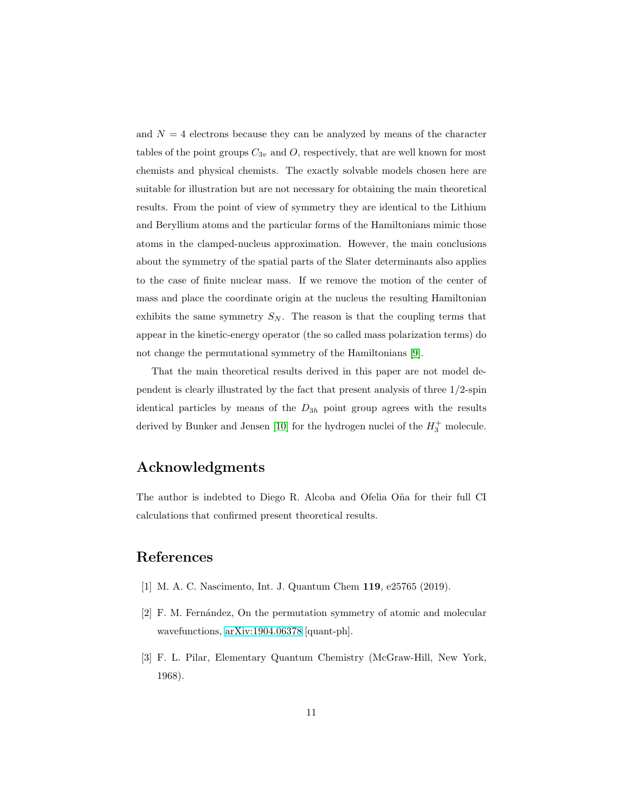and  $N = 4$  electrons because they can be analyzed by means of the character tables of the point groups  $C_{3v}$  and O, respectively, that are well known for most chemists and physical chemists. The exactly solvable models chosen here are suitable for illustration but are not necessary for obtaining the main theoretical results. From the point of view of symmetry they are identical to the Lithium and Beryllium atoms and the particular forms of the Hamiltonians mimic those atoms in the clamped-nucleus approximation. However, the main conclusions about the symmetry of the spatial parts of the Slater determinants also applies to the case of finite nuclear mass. If we remove the motion of the center of mass and place the coordinate origin at the nucleus the resulting Hamiltonian exhibits the same symmetry  $S_N$ . The reason is that the coupling terms that appear in the kinetic-energy operator (the so called mass polarization terms) do not change the permutational symmetry of the Hamiltonians [\[9\]](#page-11-6).

That the main theoretical results derived in this paper are not model dependent is clearly illustrated by the fact that present analysis of three 1/2-spin identical particles by means of the  $D_{3h}$  point group agrees with the results derived by Bunker and Jensen [\[10\]](#page-11-5) for the hydrogen nuclei of the  $H_3^+$  molecule.

#### Acknowledgments

The author is indebted to Diego R. Alcoba and Ofelia Oña for their full CI calculations that confirmed present theoretical results.

# <span id="page-10-0"></span>References

- <span id="page-10-1"></span>[1] M. A. C. Nascimento, Int. J. Quantum Chem 119, e25765 (2019).
- <span id="page-10-2"></span>[2] F. M. Fernández, On the permutation symmetry of atomic and molecular wavefunctions, [arXiv:1904.06378](http://arxiv.org/abs/1904.06378) [quant-ph].
- [3] F. L. Pilar, Elementary Quantum Chemistry (McGraw-Hill, New York, 1968).